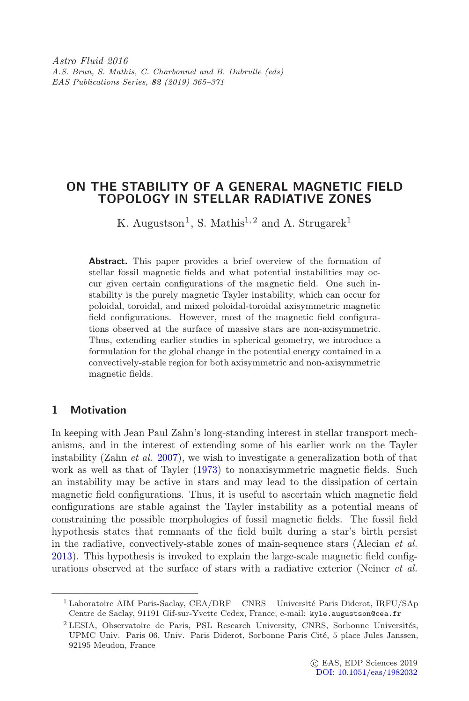Astro Fluid 2016 A.S. Brun, S. Mathis, C. Charbonnel and B. Dubrulle (eds) EAS Publications Series, 82 (2019) 365–371

# ON THE STABILITY OF A GENERAL MAGNETIC FIELD TOPOLOGY IN STELLAR RADIATIVE ZONES

K. Augustson<sup>1</sup>, S. Mathis<sup>1, 2</sup> and A. Strugarek<sup>1</sup>

Abstract. This paper provides a brief overview of the formation of stellar fossil magnetic fields and what potential instabilities may occur given certain configurations of the magnetic field. One such instability is the purely magnetic Tayler instability, which can occur for poloidal, toroidal, and mixed poloidal-toroidal axisymmetric magnetic field configurations. However, most of the magnetic field configurations observed at the surface of massive stars are non-axisymmetric. Thus, extending earlier studies in spherical geometry, we introduce a formulation for the global change in the potential energy contained in a convectively-stable region for both axisymmetric and non-axisymmetric magnetic fields.

### 1 Motivation

In keeping with Jean Paul Zahn's long-standing interest in stellar transport mechanisms, and in the interest of extending some of his earlier work on the Tayler instability (Zahn *et al.* [2007\)](#page-6-0), we wish to investigate a generalization both of that work as well as that of Tayler [\(1973\)](#page-6-1) to nonaxisymmetric magnetic fields. Such an instability may be active in stars and may lead to the dissipation of certain magnetic field configurations. Thus, it is useful to ascertain which magnetic field configurations are stable against the Tayler instability as a potential means of constraining the possible morphologies of fossil magnetic fields. The fossil field hypothesis states that remnants of the field built during a star's birth persist in the radiative, convectively-stable zones of main-sequence stars (Alecian et al. [2013\)](#page-5-0). This hypothesis is invoked to explain the large-scale magnetic field configurations observed at the surface of stars with a radiative exterior (Neiner et al.

<sup>&</sup>lt;sup>1</sup> Laboratoire AIM Paris-Saclay, CEA/DRF – CNRS – Université Paris Diderot, IRFU/SAp Centre de Saclay, 91191 Gif-sur-Yvette Cedex, France; e-mail: kyle.augustson@cea.fr

 $2$  LESIA, Observatoire de Paris, PSL Research University, CNRS, Sorbonne Universités, UPMC Univ. Paris 06, Univ. Paris Diderot, Sorbonne Paris Cité, 5 place Jules Janssen, 92195 Meudon, France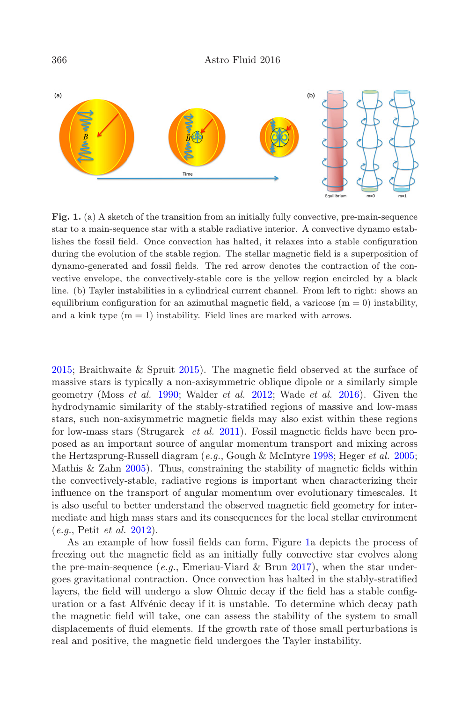

<span id="page-1-0"></span>Fig. 1. (a) A sketch of the transition from an initially fully convective, pre-main-sequence star to a main-sequence star with a stable radiative interior. A convective dynamo establishes the fossil field. Once convection has halted, it relaxes into a stable configuration during the evolution of the stable region. The stellar magnetic field is a superposition of dynamo-generated and fossil fields. The red arrow denotes the contraction of the convective envelope, the convectively-stable core is the yellow region encircled by a black line. (b) Tayler instabilities in a cylindrical current channel. From left to right: shows an equilibrium configuration for an azimuthal magnetic field, a varicose  $(m = 0)$  instability, and a kink type  $(m = 1)$  instability. Field lines are marked with arrows.

[2015;](#page-5-1) Braithwaite & Spruit [2015\)](#page-5-2). The magnetic field observed at the surface of massive stars is typically a non-axisymmetric oblique dipole or a similarly simple geometry (Moss et al. [1990;](#page-5-3) Walder et al. [2012;](#page-6-2) Wade et al. [2016\)](#page-6-3). Given the hydrodynamic similarity of the stably-stratified regions of massive and low-mass stars, such non-axisymmetric magnetic fields may also exist within these regions for low-mass stars (Strugarek et al. [2011\)](#page-6-4). Fossil magnetic fields have been proposed as an important source of angular momentum transport and mixing across the Hertzsprung-Russell diagram  $(e.g., Gough \& Mcln$ tyre [1998;](#page-5-4) Heger *et al.* [2005;](#page-5-5) Mathis & Zahn [2005\)](#page-5-6). Thus, constraining the stability of magnetic fields within the convectively-stable, radiative regions is important when characterizing their influence on the transport of angular momentum over evolutionary timescales. It is also useful to better understand the observed magnetic field geometry for intermediate and high mass stars and its consequences for the local stellar environment (e.g., Petit et al. [2012\)](#page-5-7).

As an example of how fossil fields can form, Figure [1a](#page-1-0) depicts the process of freezing out the magnetic field as an initially fully convective star evolves along the pre-main-sequence  $(e,q)$ , Emeriau-Viard & Brun [2017\)](#page-5-8), when the star undergoes gravitational contraction. Once convection has halted in the stably-stratified layers, the field will undergo a slow Ohmic decay if the field has a stable configuration or a fast Alfvénic decay if it is unstable. To determine which decay path the magnetic field will take, one can assess the stability of the system to small displacements of fluid elements. If the growth rate of those small perturbations is real and positive, the magnetic field undergoes the Tayler instability.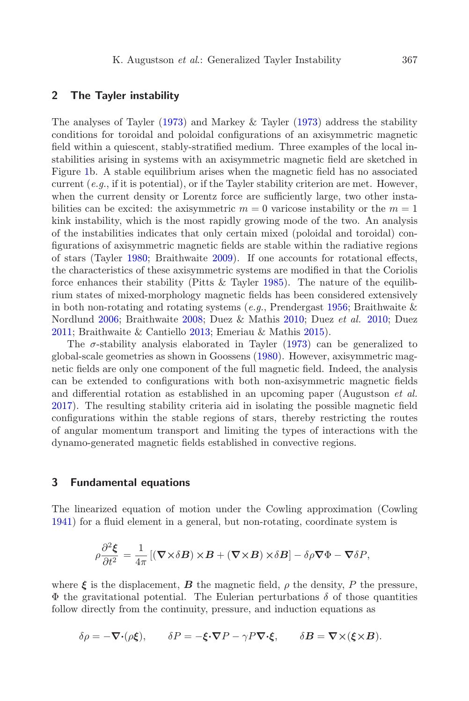### 2 The Tayler instability

The analyses of Tayler [\(1973\)](#page-6-1) and Markey & Tayler [\(1973\)](#page-5-9) address the stability conditions for toroidal and poloidal configurations of an axisymmetric magnetic field within a quiescent, stably-stratified medium. Three examples of the local instabilities arising in systems with an axisymmetric magnetic field are sketched in Figure [1b](#page-1-0). A stable equilibrium arises when the magnetic field has no associated current  $(e.g., if it is potential)$ , or if the Tayler stability criterion are met. However, when the current density or Lorentz force are sufficiently large, two other instabilities can be excited: the axisymmetric  $m = 0$  varicose instability or the  $m = 1$ kink instability, which is the most rapidly growing mode of the two. An analysis of the instabilities indicates that only certain mixed (poloidal and toroidal) configurations of axisymmetric magnetic fields are stable within the radiative regions of stars (Tayler [1980;](#page-6-5) Braithwaite [2009\)](#page-5-10). If one accounts for rotational effects, the characteristics of these axisymmetric systems are modified in that the Coriolis force enhances their stability (Pitts & Tayler [1985\)](#page-6-6). The nature of the equilibrium states of mixed-morphology magnetic fields has been considered extensively in both non-rotating and rotating systems (e.g., Prendergast [1956;](#page-6-7) Braithwaite  $\&$ Nordlund [2006;](#page-5-11) Braithwaite [2008;](#page-5-12) Duez & Mathis [2010;](#page-5-13) Duez et al. [2010;](#page-5-14) Duez [2011;](#page-5-15) Braithwaite & Cantiello [2013;](#page-5-16) Emeriau & Mathis [2015\)](#page-5-17).

The  $\sigma$ -stability analysis elaborated in Tayler [\(1973\)](#page-6-1) can be generalized to global-scale geometries as shown in Goossens [\(1980\)](#page-5-18). However, axisymmetric magnetic fields are only one component of the full magnetic field. Indeed, the analysis can be extended to configurations with both non-axisymmetric magnetic fields and differential rotation as established in an upcoming paper (Augustson et al. [2017\)](#page-5-19). The resulting stability criteria aid in isolating the possible magnetic field configurations within the stable regions of stars, thereby restricting the routes of angular momentum transport and limiting the types of interactions with the dynamo-generated magnetic fields established in convective regions.

#### 3 Fundamental equations

The linearized equation of motion under the Cowling approximation (Cowling [1941\)](#page-5-20) for a fluid element in a general, but non-rotating, coordinate system is

$$
\rho \frac{\partial^2 \xi}{\partial t^2} = \frac{1}{4\pi} \left[ (\nabla \times \delta \boldsymbol{B}) \times \boldsymbol{B} + (\nabla \times \boldsymbol{B}) \times \delta \boldsymbol{B} \right] - \delta \rho \nabla \Phi - \nabla \delta \boldsymbol{P},
$$

where  $\xi$  is the displacement,  $B$  the magnetic field,  $\rho$  the density, P the pressure,  $\Phi$  the gravitational potential. The Eulerian perturbations  $\delta$  of those quantities follow directly from the continuity, pressure, and induction equations as

$$
\delta \rho = -\nabla \cdot (\rho \xi), \qquad \delta P = -\xi \cdot \nabla P - \gamma P \nabla \cdot \xi, \qquad \delta B = \nabla \times (\xi \times B).
$$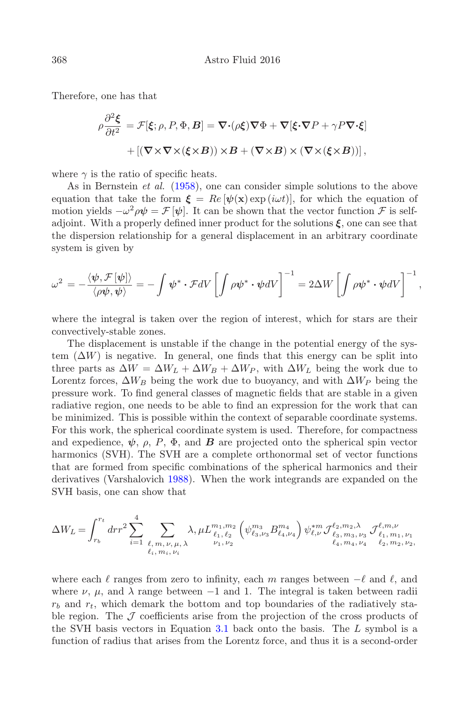Therefore, one has that

$$
\rho \frac{\partial^2 \xi}{\partial t^2} = \mathcal{F}[\xi; \rho, P, \Phi, B] = \nabla \cdot (\rho \xi) \nabla \Phi + \nabla [\xi \cdot \nabla P + \gamma P \nabla \cdot \xi]
$$

$$
+ [(\nabla \times \nabla \times (\xi \times B)) \times B + (\nabla \times B) \times (\nabla \times (\xi \times B))],
$$

where  $\gamma$  is the ratio of specific heats.

As in Bernstein et al. [\(1958\)](#page-5-21), one can consider simple solutions to the above equation that take the form  $\boldsymbol{\xi} = Re[\psi(\mathbf{x}) \exp(i\omega t)],$  for which the equation of motion yields  $-\omega^2 \rho \psi = \mathcal{F}[\psi]$ . It can be shown that the vector function  $\mathcal F$  is selfadjoint. With a properly defined inner product for the solutions  $\xi$ , one can see that the dispersion relationship for a general displacement in an arbitrary coordinate system is given by

$$
\omega^2 = -\frac{\langle \psi, \mathcal{F}[\psi] \rangle}{\langle \rho \psi, \psi \rangle} = -\int \psi^* \cdot \mathcal{F}dV \left[ \int \rho \psi^* \cdot \psi dV \right]^{-1} = 2\Delta W \left[ \int \rho \psi^* \cdot \psi dV \right]^{-1},
$$

where the integral is taken over the region of interest, which for stars are their convectively-stable zones.

The displacement is unstable if the change in the potential energy of the system  $(\Delta W)$  is negative. In general, one finds that this energy can be split into three parts as  $\Delta W = \Delta W_L + \Delta W_B + \Delta W_P$ , with  $\Delta W_L$  being the work due to Lorentz forces,  $\Delta W_B$  being the work due to buoyancy, and with  $\Delta W_P$  being the pressure work. To find general classes of magnetic fields that are stable in a given radiative region, one needs to be able to find an expression for the work that can be minimized. This is possible within the context of separable coordinate systems. For this work, the spherical coordinate system is used. Therefore, for compactness and expedience,  $\psi$ ,  $\rho$ ,  $P$ ,  $\Phi$ , and  $B$  are projected onto the spherical spin vector harmonics (SVH). The SVH are a complete orthonormal set of vector functions that are formed from specific combinations of the spherical harmonics and their derivatives (Varshalovich [1988\)](#page-6-8). When the work integrands are expanded on the SVH basis, one can show that

$$
\Delta W_L = \int_{r_b}^{r_t} dr r^2 \sum_{i=1}^4 \sum_{\substack{\ell, m, \nu, \mu, \lambda \\ \ell_i, m_i, \nu_i}} \lambda, \mu L_{\substack{\ell_1, \ell_2 \\ \nu_1, \nu_2}}^{m_1, m_2} \left( \psi_{\ell_3, \nu_3}^{m_3} B_{\ell_4, \nu_4}^{m_4} \right) \psi_{\ell, \nu}^{*m} \mathcal{J}_{\ell_3, m_3, \nu_3}^{\ell_2, m_2, \lambda} \mathcal{J}_{\ell_1, m_1, \nu_1}^{\ell, m, \nu}
$$

where each  $\ell$  ranges from zero to infinity, each m ranges between  $-\ell$  and  $\ell$ , and where  $\nu$ ,  $\mu$ , and  $\lambda$  range between -1 and 1. The integral is taken between radii  $r_b$  and  $r_t$ , which demark the bottom and top boundaries of the radiatively stable region. The  $J$  coefficients arise from the projection of the cross products of the SVH basis vectors in Equation 3.1 back onto the basis. The L symbol is a function of radius that arises from the Lorentz force, and thus it is a second-order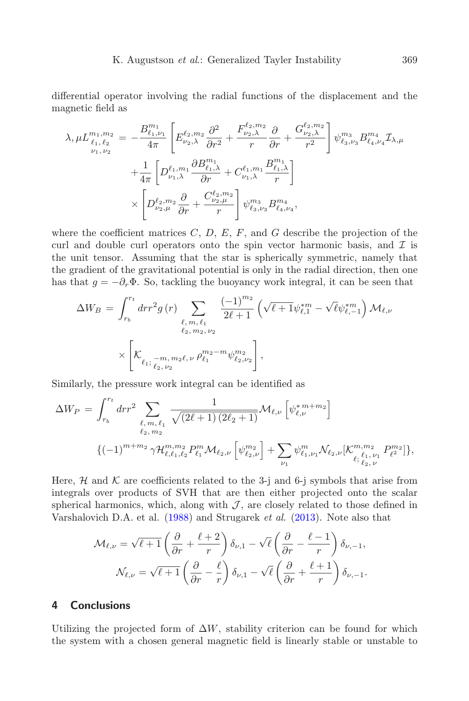differential operator involving the radial functions of the displacement and the magnetic field as

$$
\lambda, \mu L_{\ell_1, \ell_2}^{m_1, m_2} = -\frac{B_{\ell_1, \nu_1}^{m_1}}{4\pi} \left[ E_{\nu_2, \lambda}^{\ell_2, m_2} \frac{\partial^2}{\partial r^2} + \frac{F_{\nu_2, \lambda}^{\ell_2, m_2}}{r} \frac{\partial}{\partial r} + \frac{G_{\nu_2, \lambda}^{\ell_2, m_2}}{r^2} \right] \psi_{\ell_3, \nu_3}^{m_3} B_{\ell_4, \nu_4}^{m_4} \mathcal{I}_{\lambda, \mu} \n+ \frac{1}{4\pi} \left[ D_{\nu_1, \lambda}^{\ell_1, m_1} \frac{\partial B_{\ell_1, \lambda}^{m_1}}{\partial r} + C_{\nu_1, \lambda}^{\ell_1, m_1} \frac{B_{\ell_1, \lambda}^{m_1}}{r} \right] \n\times \left[ D_{\nu_2, \mu_2}^{\ell_2, m_2} \frac{\partial}{\partial r} + \frac{C_{\nu_2, \mu}^{\ell_2, m_2}}{r} \right] \psi_{\ell_3, \nu_3}^{m_3} B_{\ell_4, \nu_4}^{m_4},
$$

where the coefficient matrices  $C, D, E, F$ , and G describe the projection of the curl and double curl operators onto the spin vector harmonic basis, and  $\mathcal I$  is the unit tensor. Assuming that the star is spherically symmetric, namely that the gradient of the gravitational potential is only in the radial direction, then one has that  $g = -\partial_r \Phi$ . So, tackling the buoyancy work integral, it can be seen that

$$
\Delta W_B = \int_{r_b}^{r_t} dr r^2 g(r) \sum_{\substack{\ell, m, \ell_1 \\ \ell_2, m_2, \nu_2}} \frac{(-1)^{m_2}}{2\ell + 1} \left( \sqrt{\ell + 1} \psi_{\ell, 1}^{*m} - \sqrt{\ell} \psi_{\ell, -1}^{*m} \right) \mathcal{M}_{\ell, \nu}
$$

$$
\times \left[ \mathcal{K}_{\ell_1; \frac{-m}{\ell_2, \nu_2}, \nu} \rho_{\ell_1}^{m_2 - m} \psi_{\ell_2, \nu_2}^{m_2} \right],
$$

Similarly, the pressure work integral can be identified as

$$
\Delta W_P = \int_{r_b}^{r_t} dr r^2 \sum_{\substack{\ell, m, \ell_1 \\ \ell_2, m_2}} \frac{1}{\sqrt{(2\ell+1)(2\ell_2+1)}} \mathcal{M}_{\ell, \nu} \left[ \psi_{\ell, \nu}^{* m + m_2} \right] \n\{ (-1)^{m+m_2} \gamma \mathcal{H}_{\ell, \ell_1, \ell_2}^{m, m_2} P_{\ell_1}^m \mathcal{M}_{\ell_2, \nu} \left[ \psi_{\ell_2, \nu}^{m_2} \right] + \sum_{\nu_1} \psi_{\ell_1, \nu_1}^m \mathcal{N}_{\ell_2, \nu} \left[ \mathcal{K}_{\ell_1, \nu_1}^{m, m_2} P_{\ell_2}^{m_2} \right] \},
$$

Here,  $\mathcal H$  and  $\mathcal K$  are coefficients related to the 3-j and 6-j symbols that arise from integrals over products of SVH that are then either projected onto the scalar spherical harmonics, which, along with  $J$ , are closely related to those defined in Varshalovich D.A. et al. [\(1988\)](#page-6-8) and Strugarek et al. [\(2013\)](#page-6-9). Note also that

$$
\mathcal{M}_{\ell,\nu} = \sqrt{\ell+1} \left( \frac{\partial}{\partial r} + \frac{\ell+2}{r} \right) \delta_{\nu,1} - \sqrt{\ell} \left( \frac{\partial}{\partial r} - \frac{\ell-1}{r} \right) \delta_{\nu,-1},
$$

$$
\mathcal{N}_{\ell,\nu} = \sqrt{\ell+1} \left( \frac{\partial}{\partial r} - \frac{\ell}{r} \right) \delta_{\nu,1} - \sqrt{\ell} \left( \frac{\partial}{\partial r} + \frac{\ell+1}{r} \right) \delta_{\nu,-1}.
$$

## 4 Conclusions

Utilizing the projected form of  $\Delta W$ , stability criterion can be found for which the system with a chosen general magnetic field is linearly stable or unstable to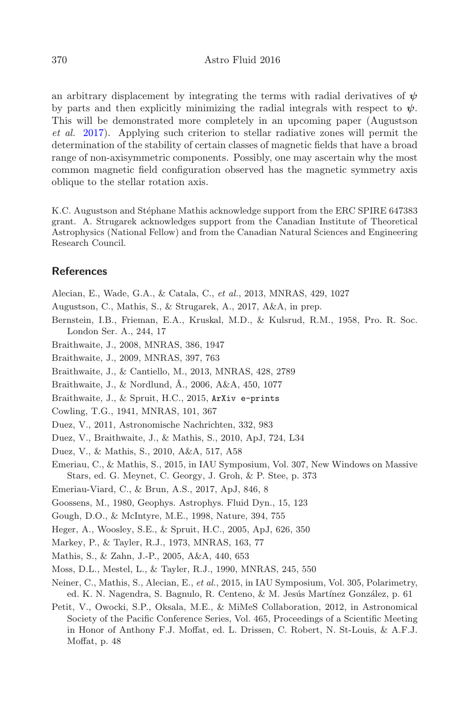an arbitrary displacement by integrating the terms with radial derivatives of  $\psi$ by parts and then explicitly minimizing the radial integrals with respect to  $\psi$ . This will be demonstrated more completely in an upcoming paper (Augustson et al. [2017\)](#page-5-19). Applying such criterion to stellar radiative zones will permit the determination of the stability of certain classes of magnetic fields that have a broad range of non-axisymmetric components. Possibly, one may ascertain why the most common magnetic field configuration observed has the magnetic symmetry axis oblique to the stellar rotation axis.

K.C. Augustson and Stéphane Mathis acknowledge support from the ERC SPIRE 647383 grant. A. Strugarek acknowledges support from the Canadian Institute of Theoretical Astrophysics (National Fellow) and from the Canadian Natural Sciences and Engineering Research Council.

### References

<span id="page-5-0"></span>Alecian, E., Wade, G.A., & Catala, C., et al., 2013, MNRAS, 429, 1027

- <span id="page-5-19"></span>Augustson, C., Mathis, S., & Strugarek, A., 2017, A&A, in prep.
- <span id="page-5-21"></span>Bernstein, I.B., Frieman, E.A., Kruskal, M.D., & Kulsrud, R.M., 1958, Pro. R. Soc. London Ser. A., 244, 17
- <span id="page-5-12"></span>Braithwaite, J., 2008, MNRAS, 386, 1947
- <span id="page-5-10"></span>Braithwaite, J., 2009, MNRAS, 397, 763
- <span id="page-5-16"></span>Braithwaite, J., & Cantiello, M., 2013, MNRAS, 428, 2789
- <span id="page-5-11"></span>Braithwaite, J., & Nordlund, Å., 2006, A&A, 450, 1077
- <span id="page-5-2"></span>Braithwaite, J., & Spruit, H.C., 2015, ArXiv e-prints
- <span id="page-5-20"></span>Cowling, T.G., 1941, MNRAS, 101, 367
- <span id="page-5-15"></span>Duez, V., 2011, Astronomische Nachrichten, 332, 983
- <span id="page-5-14"></span>Duez, V., Braithwaite, J., & Mathis, S., 2010, ApJ, 724, L34
- <span id="page-5-13"></span>Duez, V., & Mathis, S., 2010, A&A, 517, A58
- <span id="page-5-17"></span>Emeriau, C., & Mathis, S., 2015, in IAU Symposium, Vol. 307, New Windows on Massive Stars, ed. G. Meynet, C. Georgy, J. Groh, & P. Stee, p. 373
- <span id="page-5-8"></span>Emeriau-Viard, C., & Brun, A.S., 2017, ApJ, 846, 8
- <span id="page-5-18"></span>Goossens, M., 1980, Geophys. Astrophys. Fluid Dyn., 15, 123
- <span id="page-5-4"></span>Gough, D.O., & McIntyre, M.E., 1998, Nature, 394, 755
- <span id="page-5-5"></span>Heger, A., Woosley, S.E., & Spruit, H.C., 2005, ApJ, 626, 350
- <span id="page-5-9"></span>Markey, P., & Tayler, R.J., 1973, MNRAS, 163, 77
- <span id="page-5-6"></span>Mathis, S., & Zahn, J.-P., 2005, A&A, 440, 653
- <span id="page-5-3"></span>Moss, D.L., Mestel, L., & Tayler, R.J., 1990, MNRAS, 245, 550
- <span id="page-5-1"></span>Neiner, C., Mathis, S., Alecian, E., et al., 2015, in IAU Symposium, Vol. 305, Polarimetry, ed. K. N. Nagendra, S. Bagnulo, R. Centeno, & M. Jesús Martínez González, p. 61
- <span id="page-5-7"></span>Petit, V., Owocki, S.P., Oksala, M.E., & MiMeS Collaboration, 2012, in Astronomical Society of the Pacific Conference Series, Vol. 465, Proceedings of a Scientific Meeting in Honor of Anthony F.J. Moffat, ed. L. Drissen, C. Robert, N. St-Louis, & A.F.J. Moffat, p. 48